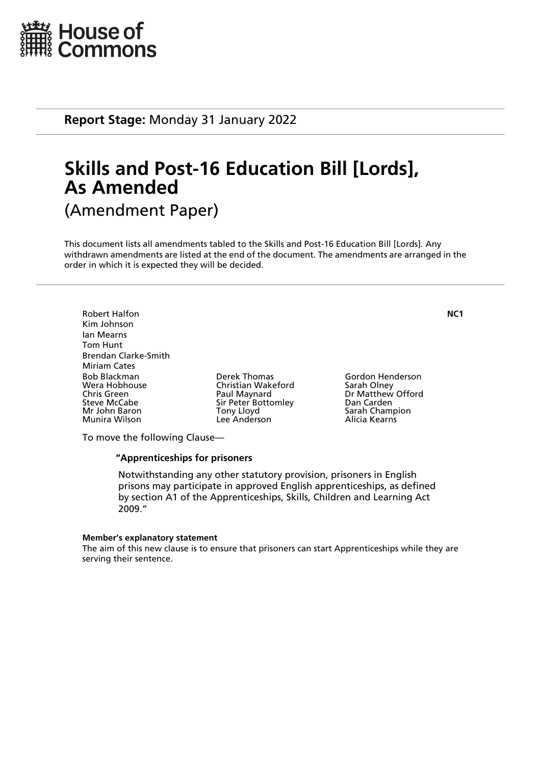

**Report Stage:** Monday 31 January 2022

# **Skills and Post-16 Education Bill [Lords], As Amended** (Amendment Paper)

This document lists all amendments tabled to the Skills and Post-16 Education Bill [Lords]. Any withdrawn amendments are listed at the end of the document. The amendments are arranged in the

order in which it is expected they will be decided.

Robert Halfon **NC1** Kim Johnson Ian Mearns Tom Hunt Brendan Clarke-Smith Miriam Cates Bob Blackman Derek Thomas Gordon Henderson Chris Green **Paul Maynard** Dr Matthew Offord<br>
Sir Peter Bottomley Dan Carden<br>
Dan Carden Steve McCabe Sir Peter Bottomley<br>
Mr John Baron Sir Pony Lloyd Munira Wilson Lee Anderson Alicia Kearns

Christian Wakeford<br>Paul Maynard

Sarah Champion

To move the following Clause—

# **"Apprenticeships for prisoners**

 Notwithstanding any other statutory provision, prisoners in English prisons may participate in approved English apprenticeships, as defined by section A1 of the Apprenticeships, Skills, Children and Learning Act 2009."

#### **Member's explanatory statement**

The aim of this new clause is to ensure that prisoners can start Apprenticeships while they are serving their sentence.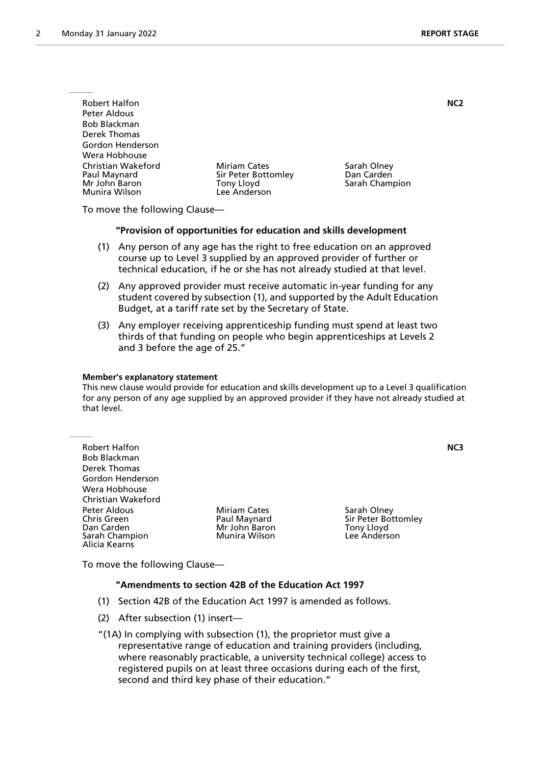| <b>Robert Halfon</b>                                                 |                                                                                 |                                             | NC <sub>2</sub> |
|----------------------------------------------------------------------|---------------------------------------------------------------------------------|---------------------------------------------|-----------------|
| Peter Aldous                                                         |                                                                                 |                                             |                 |
| Bob Blackman                                                         |                                                                                 |                                             |                 |
| Derek Thomas                                                         |                                                                                 |                                             |                 |
| Gordon Henderson                                                     |                                                                                 |                                             |                 |
| Wera Hobhouse                                                        |                                                                                 |                                             |                 |
| Christian Wakeford<br>Paul Maynard<br>Mr John Baron<br>Munira Wilson | <b>Miriam Cates</b><br>Sir Peter Bottomley<br><b>Tony Lloyd</b><br>Lee Anderson | Sarah Olney<br>Dan Carden<br>Sarah Champion |                 |
|                                                                      |                                                                                 |                                             |                 |

To move the following Clause—

#### **"Provision of opportunities for education and skills development**

- (1) Any person of any age has the right to free education on an approved course up to Level 3 supplied by an approved provider of further or technical education, if he or she has not already studied at that level.
- (2) Any approved provider must receive automatic in-year funding for any student covered by subsection (1), and supported by the Adult Education Budget, at a tariff rate set by the Secretary of State.
- (3) Any employer receiving apprenticeship funding must spend at least two thirds of that funding on people who begin apprenticeships at Levels 2 and 3 before the age of 25."

#### **Member's explanatory statement**

This new clause would provide for education and skills development up to a Level 3 qualification for any person of any age supplied by an approved provider if they have not already studied at that level.

| <b>Robert Halfon</b>                                                                |                                                                       |                                                                  | NC3 |
|-------------------------------------------------------------------------------------|-----------------------------------------------------------------------|------------------------------------------------------------------|-----|
| <b>Bob Blackman</b>                                                                 |                                                                       |                                                                  |     |
| Derek Thomas                                                                        |                                                                       |                                                                  |     |
| Gordon Henderson                                                                    |                                                                       |                                                                  |     |
| Wera Hobhouse                                                                       |                                                                       |                                                                  |     |
| Christian Wakeford                                                                  |                                                                       |                                                                  |     |
| Peter Aldous<br><b>Chris Green</b><br>Dan Carden<br>Sarah Champion<br>Alicia Kearns | <b>Miriam Cates</b><br>Paul Maynard<br>Mr John Baron<br>Munira Wilson | Sarah Olney<br>Sir Peter Bottomley<br>Tony Lloyd<br>Lee Anderson |     |

To move the following Clause—

## **"Amendments to section 42B of the Education Act 1997**

- (1) Section 42B of the Education Act 1997 is amended as follows.
- (2) After subsection (1) insert—
- "(1A) In complying with subsection (1), the proprietor must give a representative range of education and training providers (including, where reasonably practicable, a university technical college) access to registered pupils on at least three occasions during each of the first, second and third key phase of their education."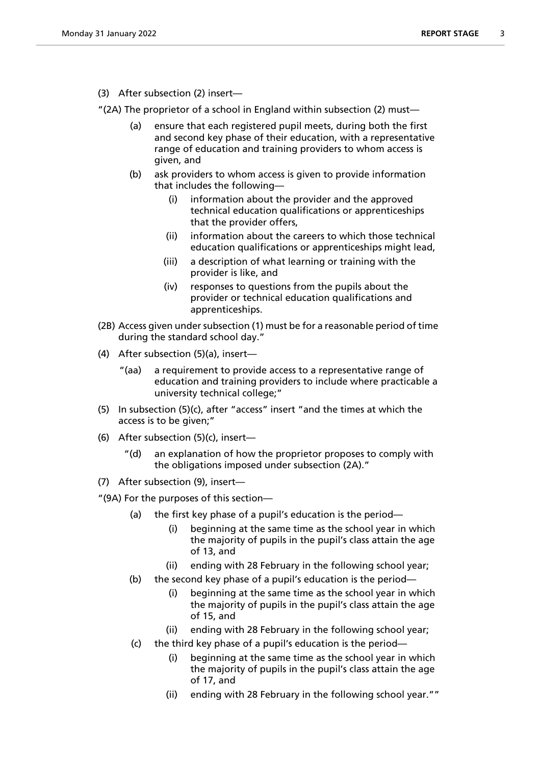(3) After subsection (2) insert—

"(2A) The proprietor of a school in England within subsection (2) must—

- (a) ensure that each registered pupil meets, during both the first and second key phase of their education, with a representative range of education and training providers to whom access is given, and
- (b) ask providers to whom access is given to provide information that includes the following—
	- (i) information about the provider and the approved technical education qualifications or apprenticeships that the provider offers,
	- (ii) information about the careers to which those technical education qualifications or apprenticeships might lead,
	- (iii) a description of what learning or training with the provider is like, and
	- (iv) responses to questions from the pupils about the provider or technical education qualifications and apprenticeships.
- (2B) Access given under subsection (1) must be for a reasonable period of time during the standard school day."
- (4) After subsection (5)(a), insert—
	- "(aa) a requirement to provide access to a representative range of education and training providers to include where practicable a university technical college;"
- (5) In subsection (5)(c), after "access" insert "and the times at which the access is to be given;"
- (6) After subsection (5)(c), insert
	- an explanation of how the proprietor proposes to comply with the obligations imposed under subsection (2A)."
- (7) After subsection (9), insert—

"(9A) For the purposes of this section—

- (a) the first key phase of a pupil's education is the period—
	- (i) beginning at the same time as the school year in which the majority of pupils in the pupil's class attain the age of 13, and
	- (ii) ending with 28 February in the following school year;
- (b) the second key phase of a pupil's education is the period—
	- (i) beginning at the same time as the school year in which the majority of pupils in the pupil's class attain the age of 15, and
	- (ii) ending with 28 February in the following school year;
- (c) the third key phase of a pupil's education is the period
	- beginning at the same time as the school year in which the majority of pupils in the pupil's class attain the age of 17, and
	- (ii) ending with 28 February in the following school year.""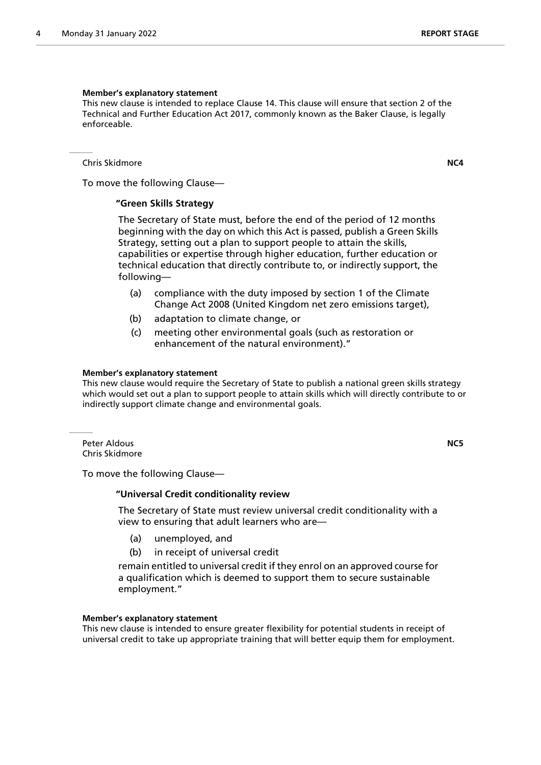#### **Member's explanatory statement**

This new clause is intended to replace Clause 14. This clause will ensure that section 2 of the Technical and Further Education Act 2017, commonly known as the Baker Clause, is legally enforceable.

Chris Skidmore **NC4**

To move the following Clause—

#### **"Green Skills Strategy**

 The Secretary of State must, before the end of the period of 12 months beginning with the day on which this Act is passed, publish a Green Skills Strategy, setting out a plan to support people to attain the skills, capabilities or expertise through higher education, further education or technical education that directly contribute to, or indirectly support, the following—

- (a) compliance with the duty imposed by section 1 of the Climate Change Act 2008 (United Kingdom net zero emissions target),
- (b) adaptation to climate change, or
- (c) meeting other environmental goals (such as restoration or enhancement of the natural environment)."

#### **Member's explanatory statement**

This new clause would require the Secretary of State to publish a national green skills strategy which would set out a plan to support people to attain skills which will directly contribute to or indirectly support climate change and environmental goals.

Peter Aldous **NC5** Chris Skidmore

To move the following Clause—

#### **"Universal Credit conditionality review**

 The Secretary of State must review universal credit conditionality with a view to ensuring that adult learners who are—

- (a) unemployed, and
- (b) in receipt of universal credit

remain entitled to universal credit if they enrol on an approved course for a qualification which is deemed to support them to secure sustainable employment."

#### **Member's explanatory statement**

This new clause is intended to ensure greater flexibility for potential students in receipt of universal credit to take up appropriate training that will better equip them for employment.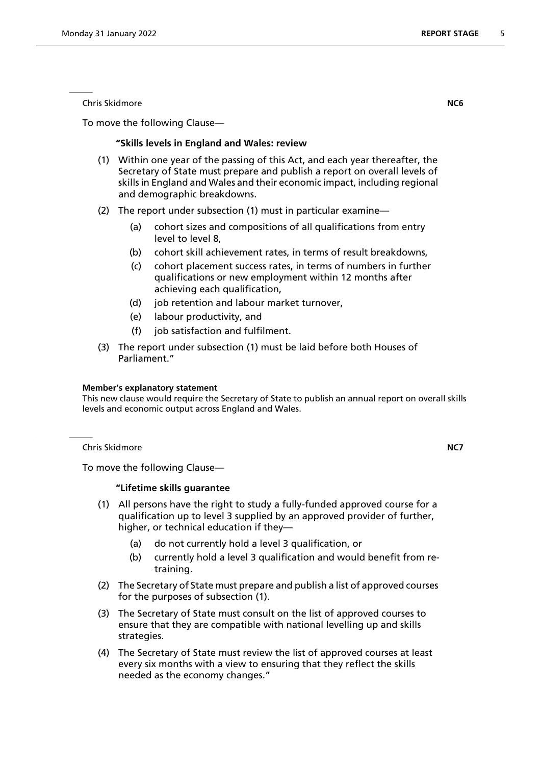To move the following Clause—

#### **"Skills levels in England and Wales: review**

- (1) Within one year of the passing of this Act, and each year thereafter, the Secretary of State must prepare and publish a report on overall levels of skills in England and Wales and their economic impact, including regional and demographic breakdowns.
- (2) The report under subsection (1) must in particular examine—
	- (a) cohort sizes and compositions of all qualifications from entry level to level 8,
	- (b) cohort skill achievement rates, in terms of result breakdowns,
	- (c) cohort placement success rates, in terms of numbers in further qualifications or new employment within 12 months after achieving each qualification,
	- (d) job retention and labour market turnover,
	- (e) labour productivity, and
	- (f) job satisfaction and fulfilment.
- (3) The report under subsection (1) must be laid before both Houses of Parliament."

#### **Member's explanatory statement**

This new clause would require the Secretary of State to publish an annual report on overall skills levels and economic output across England and Wales.

Chris Skidmore **NC7**

To move the following Clause—

#### **"Lifetime skills guarantee**

- (1) All persons have the right to study a fully-funded approved course for a qualification up to level 3 supplied by an approved provider of further, higher, or technical education if they—
	- (a) do not currently hold a level 3 qualification, or
	- (b) currently hold a level 3 qualification and would benefit from retraining.
- (2) The Secretary of State must prepare and publish a list of approved courses for the purposes of subsection (1).
- (3) The Secretary of State must consult on the list of approved courses to ensure that they are compatible with national levelling up and skills strategies.
- (4) The Secretary of State must review the list of approved courses at least every six months with a view to ensuring that they reflect the skills needed as the economy changes."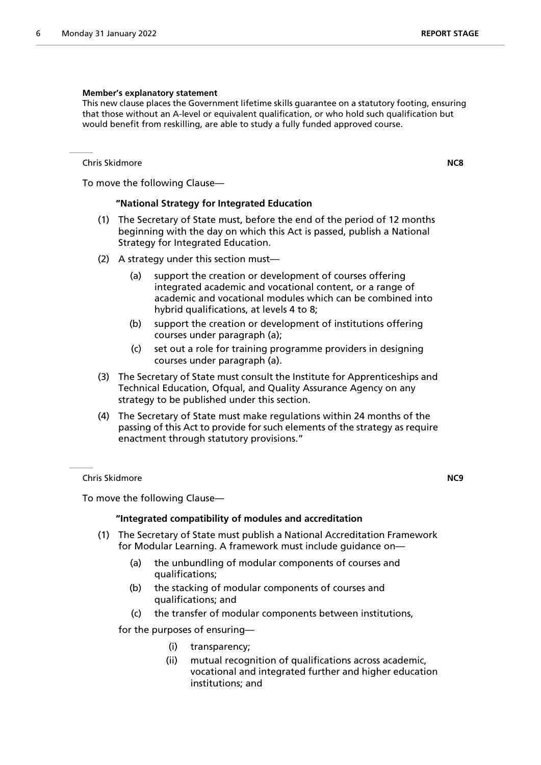#### **Member's explanatory statement**

This new clause places the Government lifetime skills guarantee on a statutory footing, ensuring that those without an A-level or equivalent qualification, or who hold such qualification but would benefit from reskilling, are able to study a fully funded approved course.

Chris Skidmore **NC8**

To move the following Clause—

## **"National Strategy for Integrated Education**

- (1) The Secretary of State must, before the end of the period of 12 months beginning with the day on which this Act is passed, publish a National Strategy for Integrated Education.
- (2) A strategy under this section must—
	- (a) support the creation or development of courses offering integrated academic and vocational content, or a range of academic and vocational modules which can be combined into hybrid qualifications, at levels 4 to 8;
	- (b) support the creation or development of institutions offering courses under paragraph (a);
	- (c) set out a role for training programme providers in designing courses under paragraph (a).
- (3) The Secretary of State must consult the Institute for Apprenticeships and Technical Education, Ofqual, and Quality Assurance Agency on any strategy to be published under this section.
- (4) The Secretary of State must make regulations within 24 months of the passing of this Act to provide for such elements of the strategy as require enactment through statutory provisions."

Chris Skidmore **NC9**

To move the following Clause—

# **"Integrated compatibility of modules and accreditation**

- (1) The Secretary of State must publish a National Accreditation Framework for Modular Learning. A framework must include guidance on—
	- (a) the unbundling of modular components of courses and qualifications;
	- (b) the stacking of modular components of courses and qualifications; and
	- (c) the transfer of modular components between institutions,

for the purposes of ensuring—

- (i) transparency;
- (ii) mutual recognition of qualifications across academic, vocational and integrated further and higher education institutions; and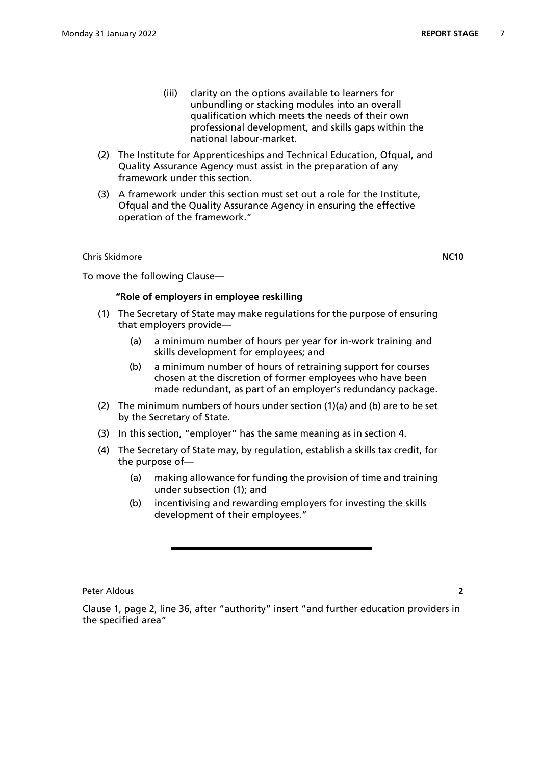- (iii) clarity on the options available to learners for unbundling or stacking modules into an overall qualification which meets the needs of their own professional development, and skills gaps within the national labour-market.
- (2) The Institute for Apprenticeships and Technical Education, Ofqual, and Quality Assurance Agency must assist in the preparation of any framework under this section.
- (3) A framework under this section must set out a role for the Institute, Ofqual and the Quality Assurance Agency in ensuring the effective operation of the framework."

Chris Skidmore **NC10**

To move the following Clause—

# **"Role of employers in employee reskilling**

- (1) The Secretary of State may make regulations for the purpose of ensuring that employers provide—
	- (a) a minimum number of hours per year for in-work training and skills development for employees; and
	- (b) a minimum number of hours of retraining support for courses chosen at the discretion of former employees who have been made redundant, as part of an employer's redundancy package.
- (2) The minimum numbers of hours under section (1)(a) and (b) are to be set by the Secretary of State.
- (3) In this section, "employer" has the same meaning as in section 4.
- (4) The Secretary of State may, by regulation, establish a skills tax credit, for the purpose of—
	- (a) making allowance for funding the provision of time and training under subsection (1); and
	- (b) incentivising and rewarding employers for investing the skills development of their employees."

Peter Aldous **2**

Clause 1, page 2, line 36, after "authority" insert "and further education providers in the specified area"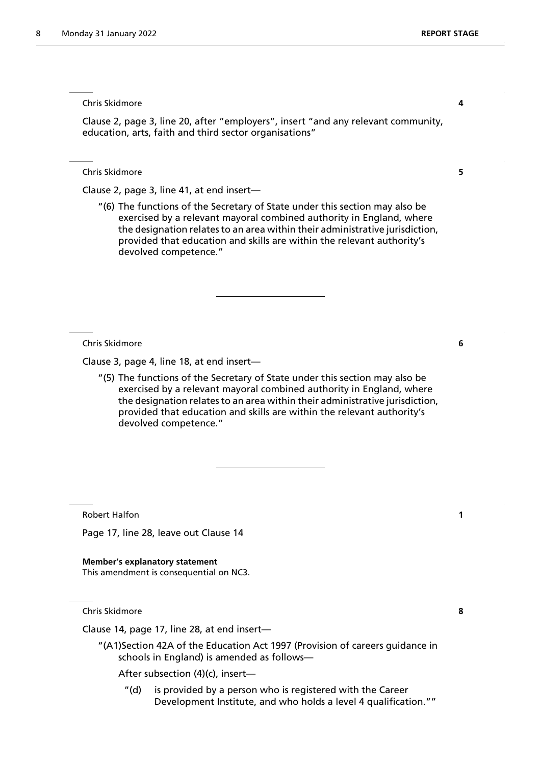Chris Skidmore **4**

Clause 2, page 3, line 20, after "employers", insert "and any relevant community, education, arts, faith and third sector organisations"

Chris Skidmore **5**

Clause 2, page 3, line 41, at end insert—

"(6) The functions of the Secretary of State under this section may also be exercised by a relevant mayoral combined authority in England, where the designation relates to an area within their administrative jurisdiction, provided that education and skills are within the relevant authority's devolved competence."

Chris Skidmore **6**

Clause 3, page 4, line 18, at end insert—

"(5) The functions of the Secretary of State under this section may also be exercised by a relevant mayoral combined authority in England, where the designation relates to an area within their administrative jurisdiction, provided that education and skills are within the relevant authority's devolved competence."

Robert Halfon **1**

Page 17, line 28, leave out Clause 14

**Member's explanatory statement** This amendment is consequential on NC3.

Chris Skidmore **8**

Clause 14, page 17, line 28, at end insert—

"(A1)Section 42A of the Education Act 1997 (Provision of careers guidance in schools in England) is amended as follows—

After subsection (4)(c), insert—

"(d) is provided by a person who is registered with the Career Development Institute, and who holds a level 4 qualification.""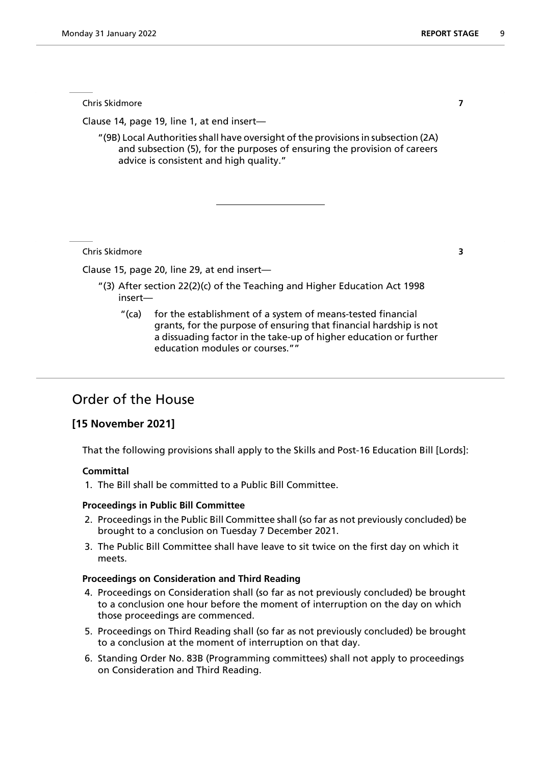Chris Skidmore **7**

Clause 14, page 19, line 1, at end insert—

"(9B) Local Authorities shall have oversight of the provisions in subsection (2A) and subsection (5), for the purposes of ensuring the provision of careers advice is consistent and high quality."

Chris Skidmore **3**

Clause 15, page 20, line 29, at end insert—

- "(3) After section 22(2)(c) of the Teaching and Higher Education Act 1998 insert—
	- "(ca) for the establishment of a system of means-tested financial grants, for the purpose of ensuring that financial hardship is not a dissuading factor in the take-up of higher education or further education modules or courses.""

# Order of the House

# **[15 November 2021]**

That the following provisions shall apply to the Skills and Post-16 Education Bill [Lords]:

#### **Committal**

1. The Bill shall be committed to a Public Bill Committee.

## **Proceedings in Public Bill Committee**

- 2. Proceedings in the Public Bill Committee shall (so far as not previously concluded) be brought to a conclusion on Tuesday 7 December 2021.
- 3. The Public Bill Committee shall have leave to sit twice on the first day on which it meets.

#### **Proceedings on Consideration and Third Reading**

- 4. Proceedings on Consideration shall (so far as not previously concluded) be brought to a conclusion one hour before the moment of interruption on the day on which those proceedings are commenced.
- 5. Proceedings on Third Reading shall (so far as not previously concluded) be brought to a conclusion at the moment of interruption on that day.
- 6. Standing Order No. 83B (Programming committees) shall not apply to proceedings on Consideration and Third Reading.